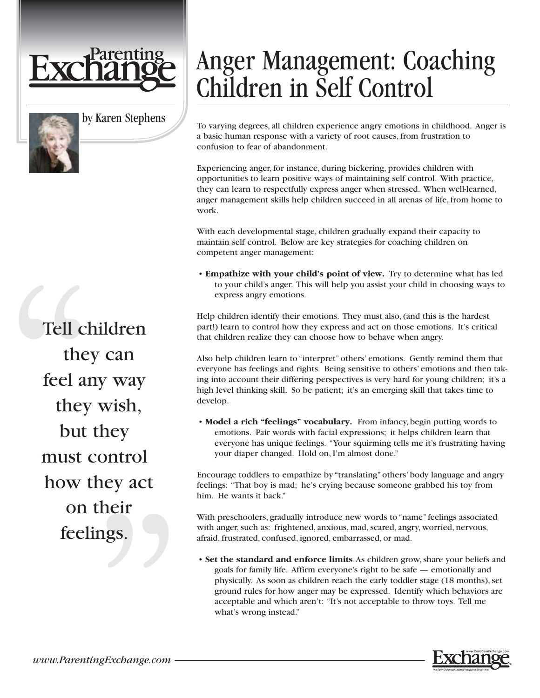



by Karen Stephens

Tell children they can feel any way they wish, but they must control how they act on their feelings.

## Anger Management: Coaching Children in Self Control

To varying degrees, all children experience angry emotions in childhood. Anger is a basic human response with a variety of root causes, from frustration to confusion to fear of abandonment.

Experiencing anger, for instance, during bickering, provides children with opportunities to learn positive ways of maintaining self control. With practice, they can learn to respectfully express anger when stressed. When well-learned, anger management skills help children succeed in all arenas of life, from home to work.

With each developmental stage, children gradually expand their capacity to maintain self control. Below are key strategies for coaching children on competent anger management:

• **Empathize with your child's point of view.** Try to determine what has led to your child's anger. This will help you assist your child in choosing ways to express angry emotions.

Help children identify their emotions. They must also, (and this is the hardest part!) learn to control how they express and act on those emotions. It's critical that children realize they can choose how to behave when angry.

Also help children learn to "interpret" others' emotions. Gently remind them that everyone has feelings and rights. Being sensitive to others' emotions and then taking into account their differing perspectives is very hard for young children; it's a high level thinking skill. So be patient; it's an emerging skill that takes time to develop.

• **Model a rich "feelings" vocabulary.** From infancy, begin putting words to emotions. Pair words with facial expressions; it helps children learn that everyone has unique feelings. "Your squirming tells me it's frustrating having your diaper changed. Hold on, I'm almost done."

Encourage toddlers to empathize by "translating" others' body language and angry feelings: "That boy is mad; he's crying because someone grabbed his toy from him. He wants it back."

With preschoolers, gradually introduce new words to "name" feelings associated with anger, such as: frightened, anxious, mad, scared, angry, worried, nervous, afraid, frustrated, confused, ignored, embarrassed, or mad.

• **Set the standard and enforce limits**.As children grow, share your beliefs and goals for family life. Affirm everyone's right to be safe — emotionally and physically. As soon as children reach the early toddler stage (18 months), set ground rules for how anger may be expressed. Identify which behaviors are acceptable and which aren't: "It's not acceptable to throw toys. Tell me what's wrong instead."